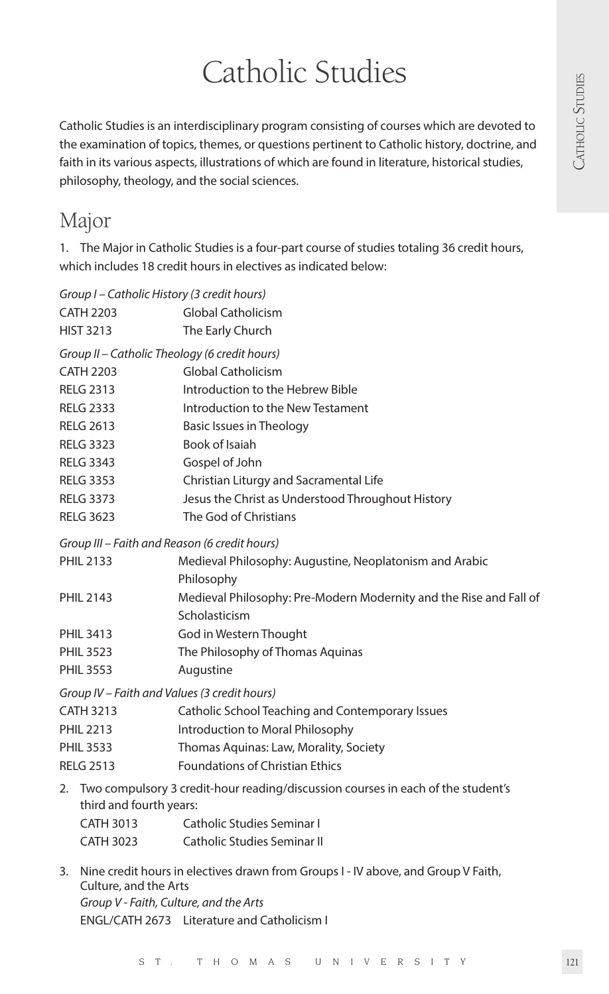Catholic Studies<br>disciplinary program consisting of courses which are devoted to<br>themes, or questions pertinent to Catholic history, doctrine, and<br>illustrations of which are found in literature, historical studies, Catholic Studies is an interdisciplinary program consisting of courses which are devoted to the examination of topics, themes, or questions pertinent to Catholic history, doctrine, and faith in its various aspects, illustrations of which are found in literature, historical studies, philosophy, theology, and the social sciences.

# Major

1. The Major in Catholic Studies is a four-part course of studies totaling 36 credit hours, which includes 18 credit hours in electives as indicated below:

|                  |                                                                                      | Group I - Catholic History (3 credit hours)                        |  |  |
|------------------|--------------------------------------------------------------------------------------|--------------------------------------------------------------------|--|--|
| <b>CATH 2203</b> |                                                                                      | <b>Global Catholicism</b>                                          |  |  |
| <b>HIST 3213</b> |                                                                                      | The Early Church                                                   |  |  |
|                  |                                                                                      | Group II - Catholic Theology (6 credit hours)                      |  |  |
| <b>CATH 2203</b> |                                                                                      | <b>Global Catholicism</b>                                          |  |  |
| <b>RELG 2313</b> |                                                                                      | Introduction to the Hebrew Bible                                   |  |  |
| <b>RELG 2333</b> |                                                                                      | Introduction to the New Testament                                  |  |  |
|                  | <b>RELG 2613</b>                                                                     | Basic Issues in Theology                                           |  |  |
|                  | <b>RELG 3323</b>                                                                     | Book of Isaiah                                                     |  |  |
|                  | <b>RELG 3343</b>                                                                     | Gospel of John                                                     |  |  |
|                  | <b>RELG 3353</b>                                                                     | Christian Liturgy and Sacramental Life                             |  |  |
| <b>RELG 3373</b> |                                                                                      | Jesus the Christ as Understood Throughout History                  |  |  |
| <b>RELG 3623</b> |                                                                                      | The God of Christians                                              |  |  |
|                  |                                                                                      | Group III – Faith and Reason (6 credit hours)                      |  |  |
| <b>PHIL 2133</b> |                                                                                      | Medieval Philosophy: Augustine, Neoplatonism and Arabic            |  |  |
|                  |                                                                                      | Philosophy                                                         |  |  |
| <b>PHIL 2143</b> |                                                                                      | Medieval Philosophy: Pre-Modern Modernity and the Rise and Fall of |  |  |
|                  |                                                                                      | Scholasticism                                                      |  |  |
| <b>PHIL 3413</b> |                                                                                      | God in Western Thought                                             |  |  |
| <b>PHIL 3523</b> |                                                                                      | The Philosophy of Thomas Aquinas                                   |  |  |
| <b>PHIL 3553</b> |                                                                                      | Augustine                                                          |  |  |
|                  |                                                                                      | Group IV – Faith and Values (3 credit hours)                       |  |  |
| <b>CATH 3213</b> |                                                                                      | Catholic School Teaching and Contemporary Issues                   |  |  |
| <b>PHIL 2213</b> |                                                                                      | Introduction to Moral Philosophy                                   |  |  |
| <b>PHIL 3533</b> |                                                                                      | Thomas Aquinas: Law, Morality, Society                             |  |  |
| <b>RELG 2513</b> |                                                                                      | <b>Foundations of Christian Ethics</b>                             |  |  |
|                  | 2. Two compulsory 3 credit-hour reading/discussion courses in each of the student's  |                                                                    |  |  |
|                  | third and fourth years:                                                              |                                                                    |  |  |
|                  | CATH 3013                                                                            | Catholic Studies Seminar I                                         |  |  |
|                  | CATH 3023                                                                            | Catholic Studies Seminar II                                        |  |  |
|                  | 3. Nine credit hours in electives drawn from Groups I - IV above, and Group V Faith, |                                                                    |  |  |
|                  | Culture, and the Arts                                                                |                                                                    |  |  |
|                  |                                                                                      | Group V - Faith, Culture, and the Arts                             |  |  |

ENGL/CATH 2673 Literature and Catholicism I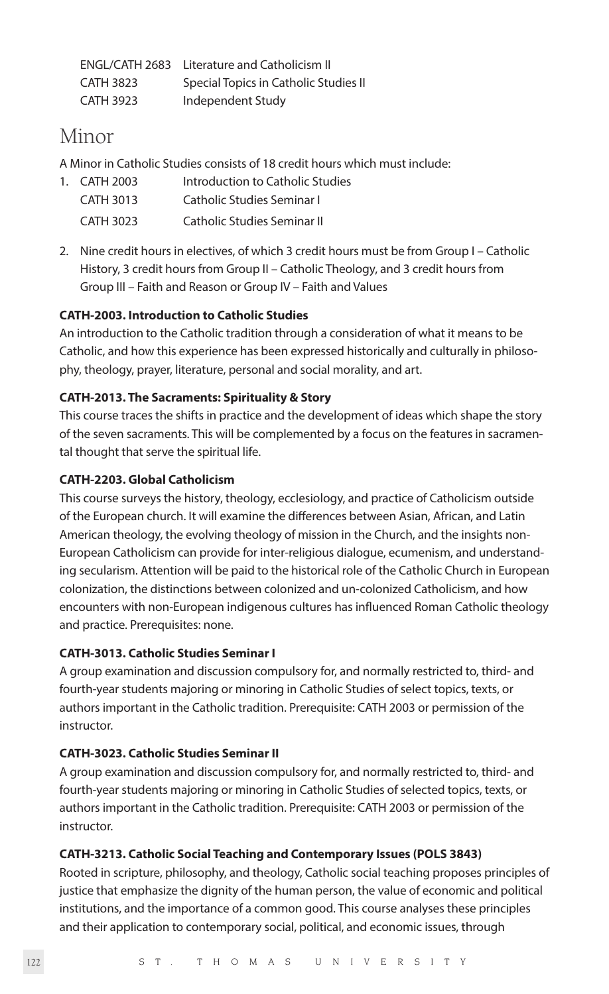|                  | ENGL/CATH 2683 Literature and Catholicism II |
|------------------|----------------------------------------------|
| <b>CATH 3823</b> | Special Topics in Catholic Studies II        |
| CATH 3923        | Independent Study                            |

# Minor

A Minor in Catholic Studies consists of 18 credit hours which must include:

| 1. CATH 2003     | Introduction to Catholic Studies |
|------------------|----------------------------------|
| <b>CATH 3013</b> | Catholic Studies Seminar L       |
| CATH 3023        | Catholic Studies Seminar II      |

2. Nine credit hours in electives, of which 3 credit hours must be from Group I – Catholic History, 3 credit hours from Group II – Catholic Theology, and 3 credit hours from Group III – Faith and Reason or Group IV – Faith and Values

## **CATH-2003. Introduction to Catholic Studies**

An introduction to the Catholic tradition through a consideration of what it means to be Catholic, and how this experience has been expressed historically and culturally in philosophy, theology, prayer, literature, personal and social morality, and art.

# **CATH-2013. The Sacraments: Spirituality & Story**

This course traces the shifts in practice and the development of ideas which shape the story of the seven sacraments. This will be complemented by a focus on the features in sacramental thought that serve the spiritual life.

## **CATH-2203. Global Catholicism**

This course surveys the history, theology, ecclesiology, and practice of Catholicism outside of the European church. It will examine the differences between Asian, African, and Latin American theology, the evolving theology of mission in the Church, and the insights non-European Catholicism can provide for inter-religious dialogue, ecumenism, and understanding secularism. Attention will be paid to the historical role of the Catholic Church in European colonization, the distinctions between colonized and un-colonized Catholicism, and how encounters with non-European indigenous cultures has influenced Roman Catholic theology and practice. Prerequisites: none.

## **CATH-3013. Catholic Studies Seminar I**

A group examination and discussion compulsory for, and normally restricted to, third- and fourth-year students majoring or minoring in Catholic Studies of select topics, texts, or authors important in the Catholic tradition. Prerequisite: CATH 2003 or permission of the **instructor** 

# **CATH-3023. Catholic Studies Seminar II**

A group examination and discussion compulsory for, and normally restricted to, third- and fourth-year students majoring or minoring in Catholic Studies of selected topics, texts, or authors important in the Catholic tradition. Prerequisite: CATH 2003 or permission of the instructor.

## **CATH-3213. Catholic Social Teaching and Contemporary Issues (POLS 3843)**

Rooted in scripture, philosophy, and theology, Catholic social teaching proposes principles of justice that emphasize the dignity of the human person, the value of economic and political institutions, and the importance of a common good. This course analyses these principles and their application to contemporary social, political, and economic issues, through